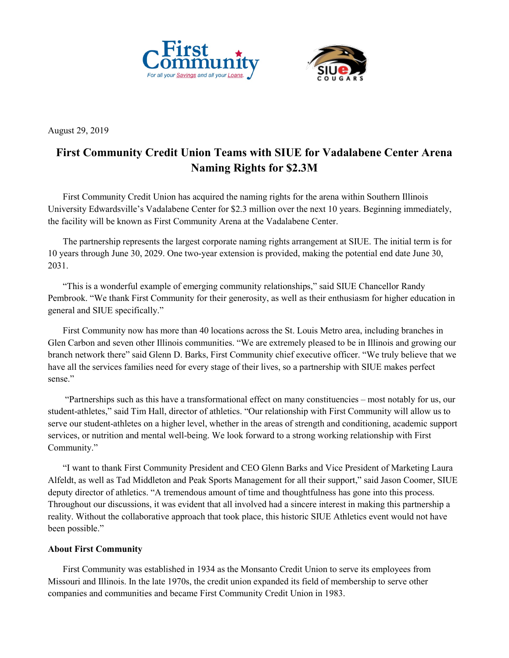



August 29, 2019

## **First Community Credit Union Teams with SIUE for Vadalabene Center Arena Naming Rights for \$2.3M**

First Community Credit Union has acquired the naming rights for the arena within Southern Illinois University Edwardsville's Vadalabene Center for \$2.3 million over the next 10 years. Beginning immediately, the facility will be known as First Community Arena at the Vadalabene Center.

The partnership represents the largest corporate naming rights arrangement at SIUE. The initial term is for 10 years through June 30, 2029. One two-year extension is provided, making the potential end date June 30, 2031.

"This is a wonderful example of emerging community relationships," said SIUE Chancellor Randy Pembrook. "We thank First Community for their generosity, as well as their enthusiasm for higher education in general and SIUE specifically."

First Community now has more than 40 locations across the St. Louis Metro area, including branches in Glen Carbon and seven other Illinois communities. "We are extremely pleased to be in Illinois and growing our branch network there" said Glenn D. Barks, First Community chief executive officer. "We truly believe that we have all the services families need for every stage of their lives, so a partnership with SIUE makes perfect sense."

"Partnerships such as this have a transformational effect on many constituencies – most notably for us, our student-athletes," said Tim Hall, director of athletics. "Our relationship with First Community will allow us to serve our student-athletes on a higher level, whether in the areas of strength and conditioning, academic support services, or nutrition and mental well-being. We look forward to a strong working relationship with First Community."

"I want to thank First Community President and CEO Glenn Barks and Vice President of Marketing Laura Alfeldt, as well as Tad Middleton and Peak Sports Management for all their support," said Jason Coomer, SIUE deputy director of athletics. "A tremendous amount of time and thoughtfulness has gone into this process. Throughout our discussions, it was evident that all involved had a sincere interest in making this partnership a reality. Without the collaborative approach that took place, this historic SIUE Athletics event would not have been possible."

## **About First Community**

First Community was established in 1934 as the Monsanto Credit Union to serve its employees from Missouri and Illinois. In the late 1970s, the credit union expanded its field of membership to serve other companies and communities and became First Community Credit Union in 1983.